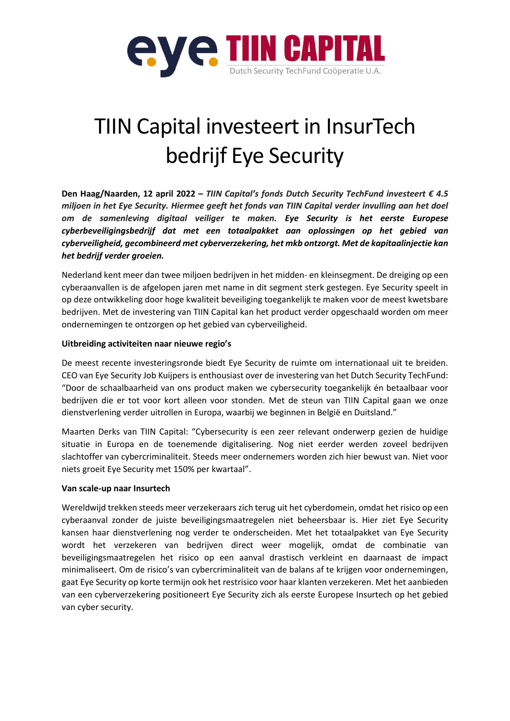

# TIIN Capital investeert in InsurTech bedrijf Eye Security

**Den Haag/Naarden, 12 april 2022 –** *TIIN Capital's fonds Dutch Security TechFund investeert € 4.5 miljoen in het Eye Security. Hiermee geeft het fonds van TIIN Capital verder invulling aan het doel om de samenleving digitaal veiliger te maken. Eye Security is het eerste Europese cyberbeveiligingsbedrijf dat met een totaalpakket aan oplossingen op het gebied van cyberveiligheid, gecombineerd met cyberverzekering, het mkb ontzorgt. Met de kapitaalinjectie kan het bedrijf verder groeien.*

Nederland kent meer dan twee miljoen bedrijven in het midden- en kleinsegment. De dreiging op een cyberaanvallen is de afgelopen jaren met name in dit segment sterk gestegen. Eye Security speelt in op deze ontwikkeling door hoge kwaliteit beveiliging toegankelijk te maken voor de meest kwetsbare bedrijven. Met de investering van TIIN Capital kan het product verder opgeschaald worden om meer ondernemingen te ontzorgen op het gebied van cyberveiligheid.

### **Uitbreiding activiteiten naar nieuwe regio's**

De meest recente investeringsronde biedt Eye Security de ruimte om internationaal uit te breiden. CEO van Eye Security Job Kuijpers is enthousiast over de investering van het Dutch Security TechFund: "Door de schaalbaarheid van ons product maken we cybersecurity toegankelijk én betaalbaar voor bedrijven die er tot voor kort alleen voor stonden. Met de steun van TIIN Capital gaan we onze dienstverlening verder uitrollen in Europa, waarbij we beginnen in België en Duitsland."

Maarten Derks van TIIN Capital: "Cybersecurity is een zeer relevant onderwerp gezien de huidige situatie in Europa en de toenemende digitalisering. Nog niet eerder werden zoveel bedrijven slachtoffer van cybercriminaliteit. Steeds meer ondernemers worden zich hier bewust van. Niet voor niets groeit Eye Security met 150% per kwartaal".

### **Van scale-up naar Insurtech**

Wereldwijd trekken steeds meer verzekeraars zich terug uit het cyberdomein, omdat het risico op een cyberaanval zonder de juiste beveiligingsmaatregelen niet beheersbaar is. Hier ziet Eye Security kansen haar dienstverlening nog verder te onderscheiden. Met het totaalpakket van Eye Security wordt het verzekeren van bedrijven direct weer mogelijk, omdat de combinatie van beveiligingsmaatregelen het risico op een aanval drastisch verkleint en daarnaast de impact minimaliseert. Om de risico's van cybercriminaliteit van de balans af te krijgen voor ondernemingen, gaat Eye Security op korte termijn ook het restrisico voor haar klanten verzekeren. Met het aanbieden van een cyberverzekering positioneert Eye Security zich als eerste Europese Insurtech op het gebied van cyber security.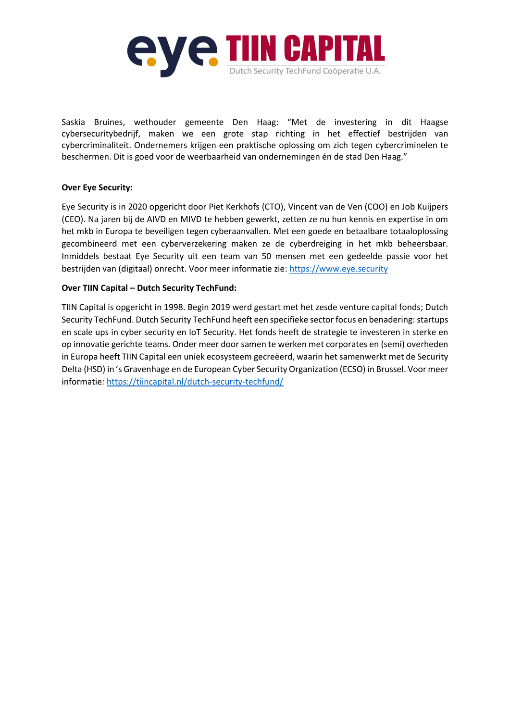

Saskia Bruines, wethouder gemeente Den Haag: "Met de investering in dit Haagse cybersecuritybedrijf, maken we een grote stap richting in het effectief bestrijden van cybercriminaliteit. Ondernemers krijgen een praktische oplossing om zich tegen cybercriminelen te beschermen. Dit is goed voor de weerbaarheid van ondernemingen én de stad Den Haag."

### **Over Eye Security:**

Eye Security is in 2020 opgericht door Piet Kerkhofs (CTO), Vincent van de Ven (COO) en Job Kuijpers (CEO). Na jaren bij de AIVD en MIVD te hebben gewerkt, zetten ze nu hun kennis en expertise in om het mkb in Europa te beveiligen tegen cyberaanvallen. Met een goede en betaalbare totaaloplossing gecombineerd met een cyberverzekering maken ze de cyberdreiging in het mkb beheersbaar. Inmiddels bestaat Eye Security uit een team van 50 mensen met een gedeelde passie voor het bestrijden van (digitaal) onrecht. Voor meer informatie zie: [https://www.eye.security](https://www.eye.security/)

### **Over TIIN Capital – Dutch Security TechFund:**

TIIN Capital is opgericht in 1998. Begin 2019 werd gestart met het zesde venture capital fonds; Dutch Security TechFund. Dutch Security TechFund heeft een specifieke sector focus en benadering: startups en scale ups in cyber security en IoT Security. Het fonds heeft de strategie te investeren in sterke en op innovatie gerichte teams. Onder meer door samen te werken met corporates en (semi) overheden in Europa heeft TIIN Capital een uniek ecosysteem gecreëerd, waarin het samenwerkt met de Security Delta (HSD) in 's Gravenhage en de European Cyber Security Organization (ECSO) in Brussel. Voor meer informatie*:* <https://tiincapital.nl/dutch-security-techfund/>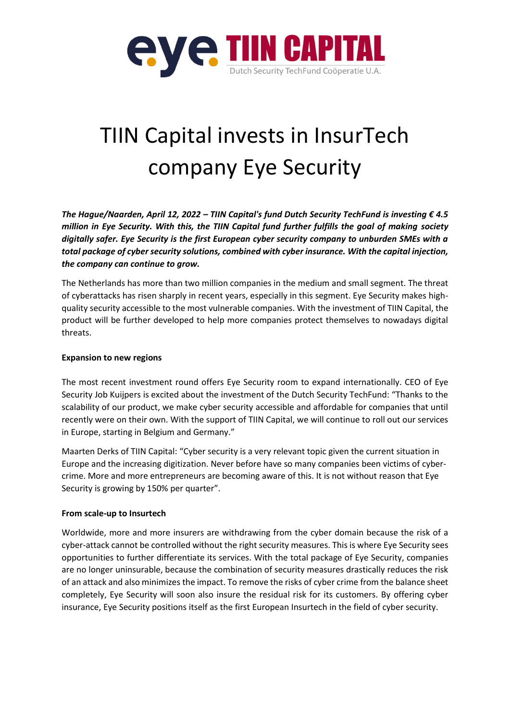

# TIIN Capital invests in InsurTech company Eye Security

*The Hague/Naarden, April 12, 2022 – TIIN Capital's fund Dutch Security TechFund is investing € 4.5 million in Eye Security. With this, the TIIN Capital fund further fulfills the goal of making society digitally safer. Eye Security is the first European cyber security company to unburden SMEs with a total package of cyber security solutions, combined with cyber insurance. With the capital injection, the company can continue to grow.*

The Netherlands has more than two million companies in the medium and small segment. The threat of cyberattacks has risen sharply in recent years, especially in this segment. Eye Security makes highquality security accessible to the most vulnerable companies. With the investment of TIIN Capital, the product will be further developed to help more companies protect themselves to nowadays digital threats.

### **Expansion to new regions**

The most recent investment round offers Eye Security room to expand internationally. CEO of Eye Security Job Kuijpers is excited about the investment of the Dutch Security TechFund: "Thanks to the scalability of our product, we make cyber security accessible and affordable for companies that until recently were on their own. With the support of TIIN Capital, we will continue to roll out our services in Europe, starting in Belgium and Germany."

Maarten Derks of TIIN Capital: "Cyber security is a very relevant topic given the current situation in Europe and the increasing digitization. Never before have so many companies been victims of cybercrime. More and more entrepreneurs are becoming aware of this. It is not without reason that Eye Security is growing by 150% per quarter".

## **From scale-up to Insurtech**

Worldwide, more and more insurers are withdrawing from the cyber domain because the risk of a cyber-attack cannot be controlled without the right security measures. This is where Eye Security sees opportunities to further differentiate its services. With the total package of Eye Security, companies are no longer uninsurable, because the combination of security measures drastically reduces the risk of an attack and also minimizes the impact. To remove the risks of cyber crime from the balance sheet completely, Eye Security will soon also insure the residual risk for its customers. By offering cyber insurance, Eye Security positions itself as the first European Insurtech in the field of cyber security.